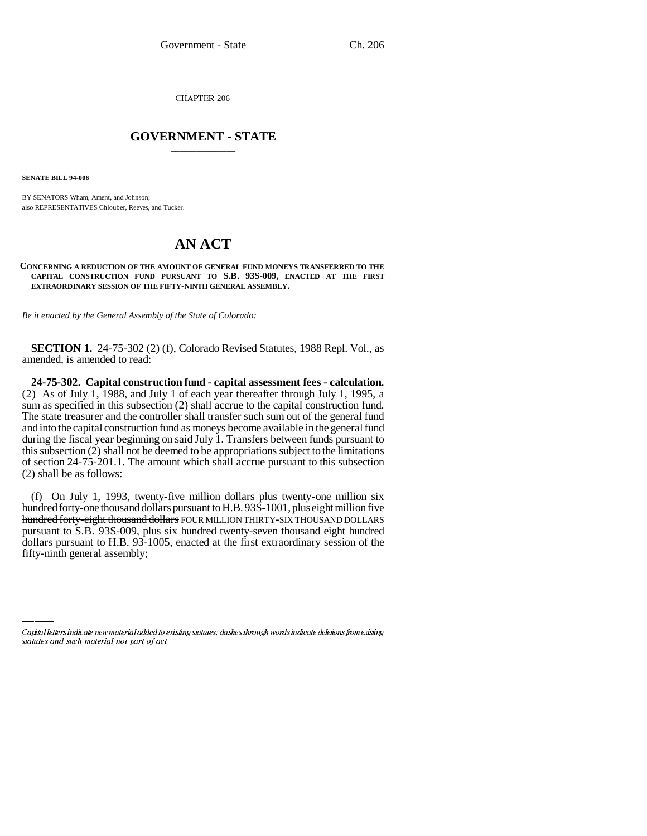CHAPTER 206

## \_\_\_\_\_\_\_\_\_\_\_\_\_\_\_ **GOVERNMENT - STATE** \_\_\_\_\_\_\_\_\_\_\_\_\_\_\_

**SENATE BILL 94-006**

BY SENATORS Wham, Ament, and Johnson; also REPRESENTATIVES Chlouber, Reeves, and Tucker.

## **AN ACT**

## **CONCERNING A REDUCTION OF THE AMOUNT OF GENERAL FUND MONEYS TRANSFERRED TO THE CAPITAL CONSTRUCTION FUND PURSUANT TO S.B. 93S-009, ENACTED AT THE FIRST EXTRAORDINARY SESSION OF THE FIFTY-NINTH GENERAL ASSEMBLY.**

*Be it enacted by the General Assembly of the State of Colorado:*

**SECTION 1.** 24-75-302 (2) (f), Colorado Revised Statutes, 1988 Repl. Vol., as amended, is amended to read:

**24-75-302. Capital construction fund - capital assessment fees - calculation.** (2) As of July 1, 1988, and July 1 of each year thereafter through July 1, 1995, a sum as specified in this subsection (2) shall accrue to the capital construction fund. The state treasurer and the controller shall transfer such sum out of the general fund and into the capital construction fund as moneys become available in the general fund during the fiscal year beginning on said July 1. Transfers between funds pursuant to this subsection (2) shall not be deemed to be appropriations subject to the limitations of section 24-75-201.1. The amount which shall accrue pursuant to this subsection (2) shall be as follows:

dollars pursuant to H.B. 93-1005, enacted at the first extraordinary session of the (f) On July 1, 1993, twenty-five million dollars plus twenty-one million six hundred forty-one thousand dollars pursuant to H.B. 93S-1001, plus eight million five hundred forty-eight thousand dollars FOUR MILLION THIRTY-SIX THOUSAND DOLLARS pursuant to S.B. 93S-009, plus six hundred twenty-seven thousand eight hundred fifty-ninth general assembly;

Capital letters indicate new material added to existing statutes; dashes through words indicate deletions from existing statutes and such material not part of act.